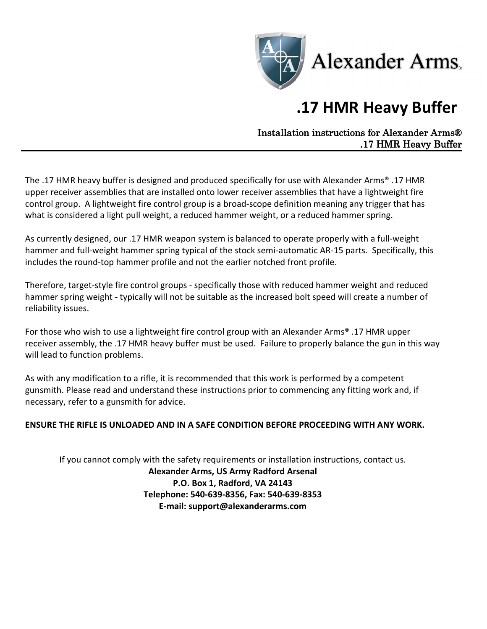

## .17 HMR Heavy Buffer

Installation instructions for Alexander Arms® .17 HMR Heavy Buffer

The .17 HMR heavy buffer is designed and produced specifically for use with Alexander Arms® .17 HMR upper receiver assemblies that are installed onto lower receiver assemblies that have a lightweight fire control group. A lightweight fire control group is a broad-scope definition meaning any trigger that has what is considered a light pull weight, a reduced hammer weight, or a reduced hammer spring.

As currently designed, our .17 HMR weapon system is balanced to operate properly with a full-weight hammer and full-weight hammer spring typical of the stock semi-automatic AR-15 parts. Specifically, this includes the round-top hammer profile and not the earlier notched front profile.

Therefore, target-style fire control groups - specifically those with reduced hammer weight and reduced hammer spring weight - typically will not be suitable as the increased bolt speed will create a number of reliability issues.

For those who wish to use a lightweight fire control group with an Alexander Arms® .17 HMR upper receiver assembly, the .17 HMR heavy buffer must be used. Failure to properly balance the gun in this way will lead to function problems.

As with any modification to a rifle, it is recommended that this work is performed by a competent gunsmith. Please read and understand these instructions prior to commencing any fitting work and, if necessary, refer to a gunsmith for advice.

## ENSURE THE RIFLE IS UNLOADED AND IN A SAFE CONDITION BEFORE PROCEEDING WITH ANY WORK.

If you cannot comply with the safety requirements or installation instructions, contact us. Alexander Arms, US Army Radford Arsenal P.O. Box 1, Radford, VA 24143 Telephone: 540-639-8356, Fax: 540-639-8353 E-mail: support@alexanderarms.com